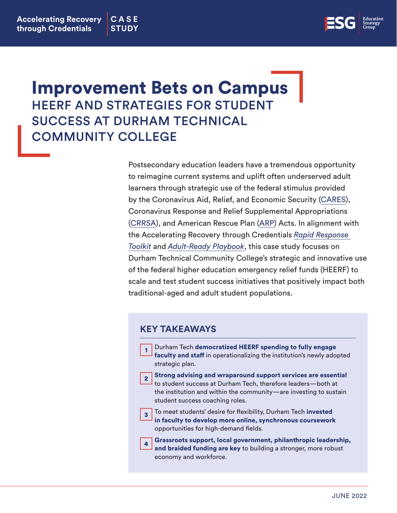

# Improvement Bets on Campus HEERF AND STRATEGIES FOR STUDENT SUCCESS AT DURHAM TECHNICAL COMMUNITY COLLEGE

Postsecondary education leaders have a tremendous opportunity to reimagine current systems and uplift often underserved adult learners through strategic use of the federal stimulus provided by the Coronavirus Aid, Relief, and Economic Security [\(CARES](https://www2.ed.gov/about/offices/list/ope/caresact.html)), Coronavirus Response and Relief Supplemental Appropriations [\(CRRSA\)](https://www2.ed.gov/about/offices/list/ope/crrsaa.html), and American Rescue Plan [\(ARP](https://www2.ed.gov/about/offices/list/ope/arp.html)) Acts. In alignment with the Accelerating Recovery through Credentials *[Rapid Response](https://edstrategy.org/wp-content/uploads/2021/03/ARC_Rapid_Response_Toolkit_FINAL.pdf)  [Toolkit](https://edstrategy.org/wp-content/uploads/2021/03/ARC_Rapid_Response_Toolkit_FINAL.pdf)* and *[Adult-Ready Playbook](https://docs.google.com/document/d/1y2sP7xRT0TNW8YwhJMsN-lipkgx14bO8/edit)*, this case study focuses on Durham Technical Community College's strategic and innovative use of the federal higher education emergency relief funds (HEERF) to scale and test student success initiatives that positively impact both traditional-aged and adult student populations.

#### **KEY TAKEAWAYS**

|                | Durham Tech democratized HEERF spending to fully engage<br>faculty and staff in operationalizing the institution's newly adopted<br>strategic plan.                                                                                   |
|----------------|---------------------------------------------------------------------------------------------------------------------------------------------------------------------------------------------------------------------------------------|
|                | Strong advising and wraparound support services are essential<br>to student success at Durham Tech, therefore leaders—both at<br>the institution and within the community-are investing to sustain<br>student success coaching roles. |
|                | To meet students' desire for flexibility, Durham Tech invested<br>in faculty to develop more online, synchronous coursework<br>opportunities for high-demand fields.                                                                  |
| $\overline{4}$ | Grassroots support, local government, philanthropic leadership, and braided funding are key to building a stronger, more robust<br>economy and workforce.                                                                             |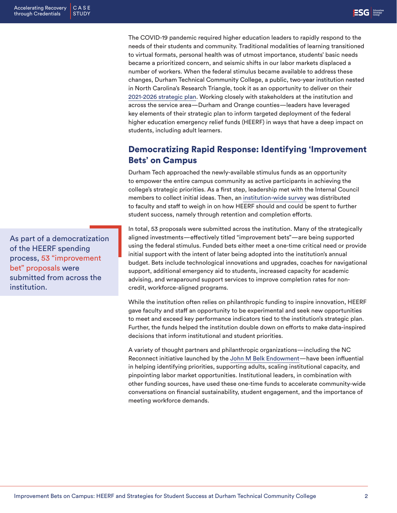The COVID-19 pandemic required higher education leaders to rapidly respond to the needs of their students and community. Traditional modalities of learning transitioned to virtual formats, personal health was of utmost importance, students' basic needs became a prioritized concern, and seismic shifts in our labor markets displaced a number of workers. When the federal stimulus became available to address these changes, Durham Technical Community College, a public, two-year institution nested in North Carolina's Research Triangle, took it as an opportunity to deliver on their [2021-2026 strategic plan.](https://www.durhamtech.edu/about-durham-tech/strategic-plan#pdf) Working closely with stakeholders at the institution and across the service area—Durham and Orange counties—leaders have leveraged key elements of their strategic plan to inform targeted deployment of the federal higher education emergency relief funds (HEERF) in ways that have a deep impact on students, including adult learners.

## Democratizing Rapid Response: Identifying 'Improvement Bets' on Campus

Durham Tech approached the newly-available stimulus funds as an opportunity to empower the entire campus community as active participants in achieving the college's strategic priorities. As a first step, leadership met with the Internal Council members to collect initial ideas. Then, an [institution-wide survey](https://edstrategy.org/wp-content/uploads/2022/06/Improvement-Bet-Success-Outcome-Submission-Form-Spring-2022.pdf) was distributed to faculty and staff to weigh in on how HEERF should and could be spent to further student success, namely through retention and completion efforts.

In total, 53 proposals were submitted across the institution. Many of the strategically aligned investments—effectively titled "improvement bets"—are being supported using the federal stimulus. Funded bets either meet a one-time critical need or provide initial support with the intent of later being adopted into the institution's annual budget. Bets include technological innovations and upgrades, coaches for navigational support, additional emergency aid to students, increased capacity for academic advising, and wraparound support services to improve completion rates for noncredit, workforce-aligned programs.

While the institution often relies on philanthropic funding to inspire innovation, HEERF gave faculty and staff an opportunity to be experimental and seek new opportunities to meet and exceed key performance indicators tied to the institution's strategic plan. Further, the funds helped the institution double down on efforts to make data-inspired decisions that inform institutional and student priorities.

A variety of thought partners and philanthropic organizations—including the NC Reconnect initiative launched by the [John M Belk Endowment—](https://jmbendowment.org/)have been influential in helping identifying priorities, supporting adults, scaling institutional capacity, and pinpointing labor market opportunities. Institutional leaders, in combination with other funding sources, have used these one-time funds to accelerate community-wide conversations on financial sustainability, student engagement, and the importance of meeting workforce demands.

As part of a democratization of the HEERF spending process, 53 "improvement bet" proposals were submitted from across the institution.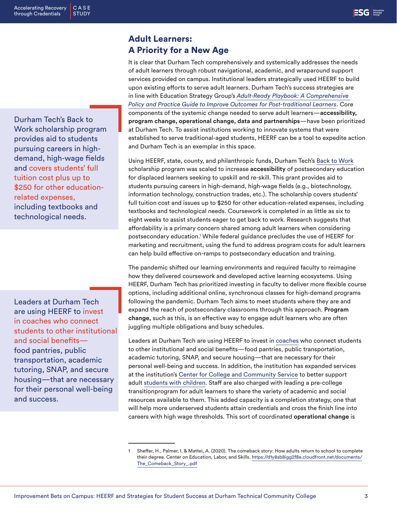Durham Tech's Back to Work scholarship program provides aid to students pursuing careers in highdemand, high-wage fields and covers students' full tuition cost plus up to \$250 for other educationrelated expenses, including textbooks and technological needs.

Leaders at Durham Tech are using HEERF to invest in coaches who connect students to other institutional and social benefits food pantries, public transportation, academic tutoring, SNAP, and secure housing—that are necessary for their personal well-being and success.

### Adult Learners: A Priority for a New Age

It is clear that Durham Tech comprehensively and systemically addresses the needs of adult learners through robust navigational, academic, and wraparound support services provided on campus. Institutional leaders strategically used HEERF to build upon existing efforts to serve adult learners. Durham Tech's success strategies are in line with Education Strategy Group's *[Adult-Ready Playbook: A Comprehensive](https://docs.google.com/document/d/1y2sP7xRT0TNW8YwhJMsN-lipkgx14bO8/edit)  [Policy and Practice Guide to Improve Outcomes for Post-traditional Learners](https://docs.google.com/document/d/1y2sP7xRT0TNW8YwhJMsN-lipkgx14bO8/edit)*. Core components of the systemic change needed to serve adult learners—**accessibility, program change, operational change, data and partnerships**—have been prioritized at Durham Tech. To assist institutions working to innovate systems that were established to serve traditional-aged students, HEERF can be a tool to expedite action and Durham Tech is an exemplar in this space.

Using HEERF, state, county, and philanthropic funds, Durham Tech's [Back to Work](https://www.durhamtech.edu/programs-pathways/durham-tech-back-work-initiative) scholarship program was scaled to increase **accessibility** of postsecondary education for displaced learners seeking to upskill and re-skill. This grant provides aid to students pursuing careers in high-demand, high-wage fields (e.g., biotechnology, information technology, construction trades, etc.). The scholarship covers students' full tuition cost and issues up to \$250 for other education-related expenses, including textbooks and technological needs. Coursework is completed in as little as six to eight weeks to assist students eager to get back to work. Research suggests that affordability is a primary concern shared among adult learners when considering postsecondary education.1 While federal guidance precludes the use of HEERF for marketing and recruitment, using the fund to address program costs for adult learners can help build effective on-ramps to postsecondary education and training.

The pandemic shifted our learning environments and required faculty to reimagine how they delivered coursework and developed active learning ecosystems. Using HEERF, Durham Tech has prioritized investing in faculty to deliver more flexible course options, including additional online, synchronous classes for high-demand programs following the pandemic. Durham Tech aims to meet students where they are and expand the reach of postsecondary classrooms through this approach. **Program change,** such as this, is an effective way to engage adult learners who are often juggling multiple obligations and busy schedules.

Leaders at Durham Tech are using HEERF to invest in [coaches](https://www.durhamtech.edu/student-services/success-coaching) who connect students to other institutional and social benefits—food pantries, public transportation, academic tutoring, SNAP, and secure housing—that are necessary for their personal well-being and success. In addition, the institution has expanded services at the institution's [Center for College and Community Service](https://www.durhamtech.edu/community-engagement/campus-harvest-food-pantry) to better support adult [students with children.](https://www.durhamtech.edu/student-services/support-students-with-children) Staff are also charged with leading a pre-college transitionprogram for adult learners to share the variety of academic and social resources available to them. This added capacity is a completion strategy, one that will help more underserved students attain credentials and cross the finish line into careers with high wage thresholds. This sort of coordinated **operational change** is

Sheffer, H., Palmer, I. & Mattei, A. (2020). The comeback story: How adults return to school to complete their degree. Center on Education, Labor, and Skills. [https://d1y8sb8igg2f8e.cloudfront.net/documents/](https://d1y8sb8igg2f8e.cloudfront.net/documents/The_Comeback_Story_.pdf) [The\\_Comeback\\_Story\\_.pdf](https://d1y8sb8igg2f8e.cloudfront.net/documents/The_Comeback_Story_.pdf)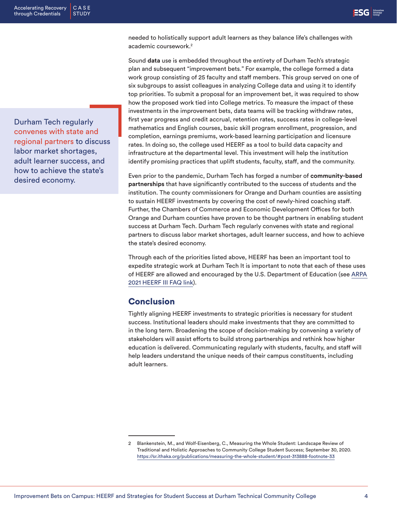needed to holistically support adult learners as they balance life's challenges with academic coursework.<sup>2</sup>

Sound **data** use is embedded throughout the entirety of Durham Tech's strategic plan and subsequent "improvement bets." For example, the college formed a data work group consisting of 25 faculty and staff members. This group served on one of six subgroups to assist colleagues in analyzing College data and using it to identify top priorities. To submit a proposal for an improvement bet, it was required to show how the proposed work tied into College metrics. To measure the impact of these investments in the improvement bets, data teams will be tracking withdraw rates, first year progress and credit accrual, retention rates, success rates in college-level mathematics and English courses, basic skill program enrollment, progression, and completion, earnings premiums, work-based learning participation and licensure rates. In doing so, the college used HEERF as a tool to build data capacity and infrastructure at the departmental level. This investment will help the institution identify promising practices that uplift students, faculty, staff, and the community.

Even prior to the pandemic, Durham Tech has forged a number of **community-based partnerships** that have significantly contributed to the success of students and the institution. The county commissioners for Orange and Durham counties are assisting to sustain HEERF investments by covering the cost of newly-hired coaching staff. Further, the Chambers of Commerce and Economic Development Offices for both Orange and Durham counties have proven to be thought partners in enabling student success at Durham Tech. Durham Tech regularly convenes with state and regional partners to discuss labor market shortages, adult learner success, and how to achieve the state's desired economy.

Through each of the priorities listed above, HEERF has been an important tool to expedite strategic work at Durham Tech It is important to note that each of these uses of HEERF are allowed and encouraged by the U.S. Department of Education (see [ARPA](https://www2.ed.gov/about/offices/list/ope/arpfaq.pdf)  [2021 HEERF III FAQ link\)](https://www2.ed.gov/about/offices/list/ope/arpfaq.pdf).

#### **Conclusion**

Tightly aligning HEERF investments to strategic priorities is necessary for student success. Institutional leaders should make investments that they are committed to in the long term. Broadening the scope of decision-making by convening a variety of stakeholders will assist efforts to build strong partnerships and rethink how higher education is delivered. Communicating regularly with students, faculty, and staff will help leaders understand the unique needs of their campus constituents, including adult learners.

Durham Tech regularly convenes with state and regional partners to discuss labor market shortages, adult learner success, and how to achieve the state's desired economy.

<sup>2</sup> Blankenstein, M., and Wolf-Eisenberg, C., Measuring the Whole Student: Landscape Review of Traditional and Holistic Approaches to Community College Student Success; September 30, 2020. <https://sr.ithaka.org/publications/measuring-the-whole-student/#post-313888-footnote-33>